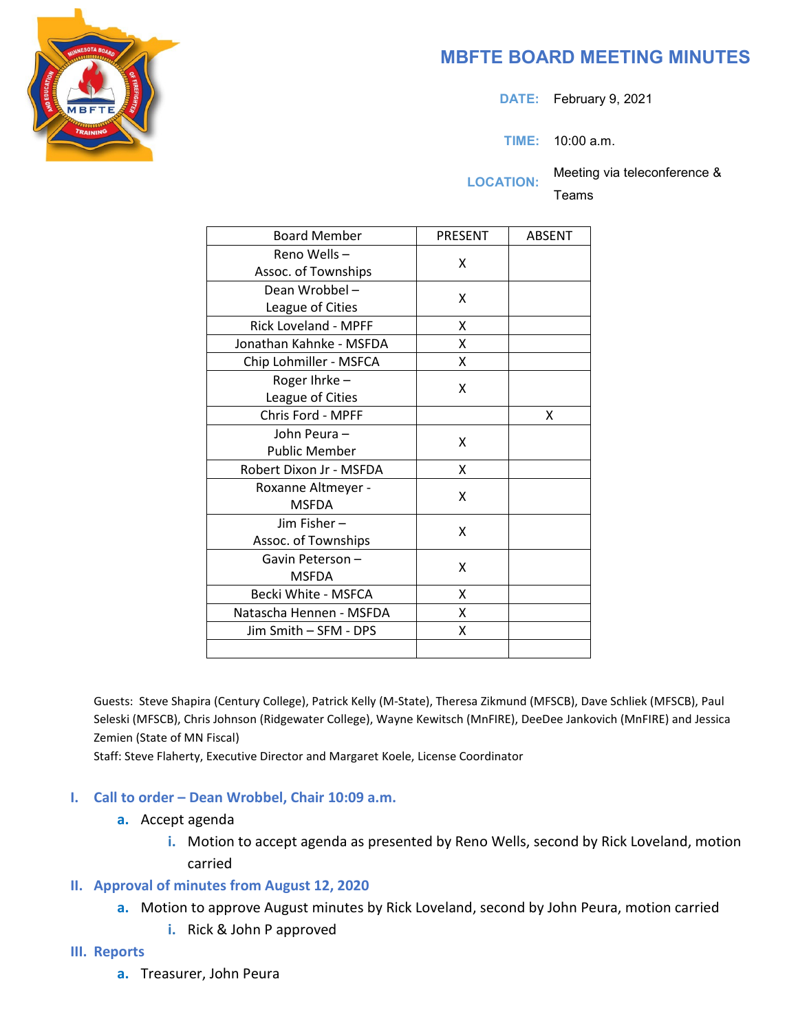

# **MBFTE BOARD MEETING MINUTES**

**DATE:** February 9, 2021

**TIME:** 10:00 a.m.

**LOCATION:** Meeting via teleconference &

Teams

| <b>Board Member</b>         | <b>PRESENT</b> | <b>ABSENT</b> |
|-----------------------------|----------------|---------------|
| Reno Wells-                 | x              |               |
| Assoc. of Townships         |                |               |
| Dean Wrobbel-               | x              |               |
| League of Cities            |                |               |
| <b>Rick Loveland - MPFF</b> | Χ              |               |
| Jonathan Kahnke - MSFDA     | x              |               |
| Chip Lohmiller - MSFCA      | X              |               |
| Roger Ihrke-                | X              |               |
| League of Cities            |                |               |
| Chris Ford - MPFF           |                | x             |
| John Peura-                 | x              |               |
| <b>Public Member</b>        |                |               |
| Robert Dixon Jr - MSFDA     | x              |               |
| Roxanne Altmeyer -          | x              |               |
| <b>MSFDA</b>                |                |               |
| Jim Fisher-                 | x              |               |
| Assoc. of Townships         |                |               |
| Gavin Peterson-             | x              |               |
| <b>MSFDA</b>                |                |               |
| Becki White - MSFCA         | x              |               |
| Natascha Hennen - MSFDA     | X              |               |
| Jim Smith - SFM - DPS       | X              |               |
|                             |                |               |

Guests: Steve Shapira (Century College), Patrick Kelly (M-State), Theresa Zikmund (MFSCB), Dave Schliek (MFSCB), Paul Seleski (MFSCB), Chris Johnson (Ridgewater College), Wayne Kewitsch (MnFIRE), DeeDee Jankovich (MnFIRE) and Jessica Zemien (State of MN Fiscal)

Staff: Steve Flaherty, Executive Director and Margaret Koele, License Coordinator

### **I. Call to order – Dean Wrobbel, Chair 10:09 a.m.**

- **a.** Accept agenda
	- **i.** Motion to accept agenda as presented by Reno Wells, second by Rick Loveland, motion carried

## **II. Approval of minutes from August 12, 2020**

- **a.** Motion to approve August minutes by Rick Loveland, second by John Peura, motion carried
	- **i.** Rick & John P approved

### **III. Reports**

**a.** Treasurer, John Peura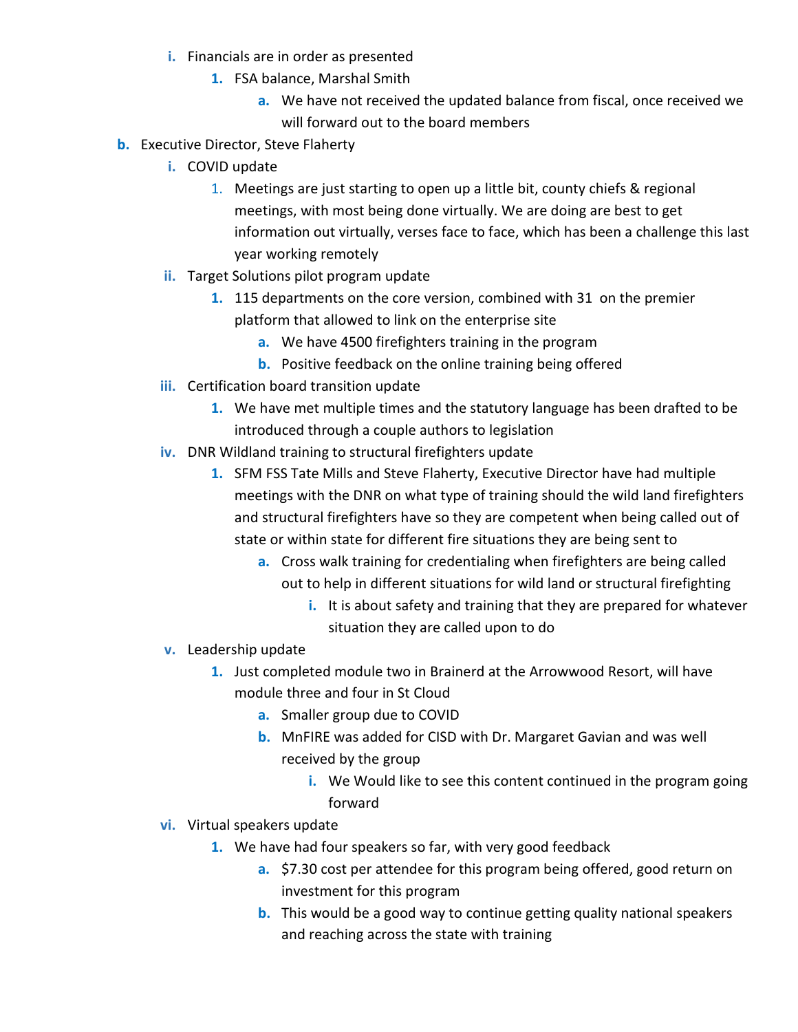- **i.** Financials are in order as presented
	- **1.** FSA balance, Marshal Smith
		- **a.** We have not received the updated balance from fiscal, once received we will forward out to the board members
- **b.** Executive Director, Steve Flaherty
	- **i.** COVID update
		- 1. Meetings are just starting to open up a little bit, county chiefs & regional meetings, with most being done virtually. We are doing are best to get information out virtually, verses face to face, which has been a challenge this last year working remotely
	- **ii.** Target Solutions pilot program update
		- **1.** 115 departments on the core version, combined with 31 on the premier platform that allowed to link on the enterprise site
			- **a.** We have 4500 firefighters training in the program
			- **b.** Positive feedback on the online training being offered
	- **iii.** Certification board transition update
		- **1.** We have met multiple times and the statutory language has been drafted to be introduced through a couple authors to legislation
	- **iv.** DNR Wildland training to structural firefighters update
		- **1.** SFM FSS Tate Mills and Steve Flaherty, Executive Director have had multiple meetings with the DNR on what type of training should the wild land firefighters and structural firefighters have so they are competent when being called out of state or within state for different fire situations they are being sent to
			- **a.** Cross walk training for credentialing when firefighters are being called out to help in different situations for wild land or structural firefighting
				- **i.** It is about safety and training that they are prepared for whatever situation they are called upon to do
	- **v.** Leadership update
		- **1.** Just completed module two in Brainerd at the Arrowwood Resort, will have module three and four in St Cloud
			- **a.** Smaller group due to COVID
			- **b.** MnFIRE was added for CISD with Dr. Margaret Gavian and was well received by the group
				- **i.** We Would like to see this content continued in the program going forward
	- **vi.** Virtual speakers update
		- **1.** We have had four speakers so far, with very good feedback
			- **a.** \$7.30 cost per attendee for this program being offered, good return on investment for this program
			- **b.** This would be a good way to continue getting quality national speakers and reaching across the state with training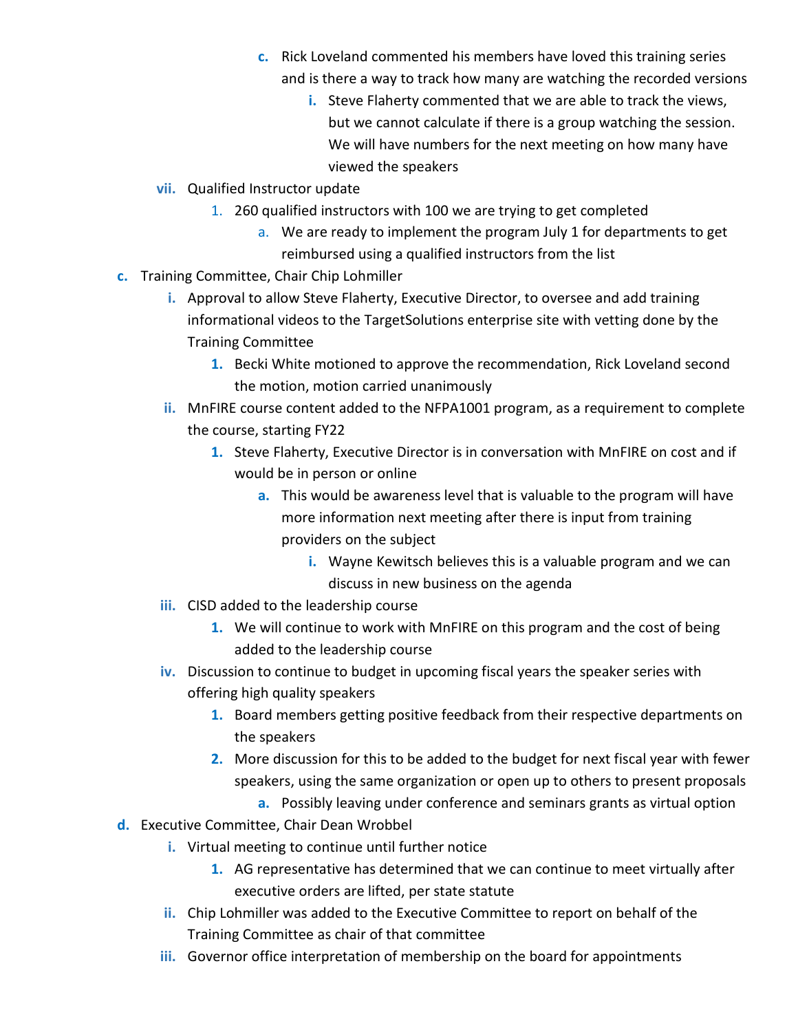- **c.** Rick Loveland commented his members have loved this training series and is there a way to track how many are watching the recorded versions
	- **i.** Steve Flaherty commented that we are able to track the views, but we cannot calculate if there is a group watching the session. We will have numbers for the next meeting on how many have viewed the speakers
- **vii.** Qualified Instructor update
	- 1. 260 qualified instructors with 100 we are trying to get completed
		- a. We are ready to implement the program July 1 for departments to get reimbursed using a qualified instructors from the list
- **c.** Training Committee, Chair Chip Lohmiller
	- **i.** Approval to allow Steve Flaherty, Executive Director, to oversee and add training informational videos to the TargetSolutions enterprise site with vetting done by the Training Committee
		- **1.** Becki White motioned to approve the recommendation, Rick Loveland second the motion, motion carried unanimously
	- **ii.** MnFIRE course content added to the NFPA1001 program, as a requirement to complete the course, starting FY22
		- **1.** Steve Flaherty, Executive Director is in conversation with MnFIRE on cost and if would be in person or online
			- **a.** This would be awareness level that is valuable to the program will have more information next meeting after there is input from training providers on the subject
				- **i.** Wayne Kewitsch believes this is a valuable program and we can discuss in new business on the agenda
	- **iii.** CISD added to the leadership course
		- **1.** We will continue to work with MnFIRE on this program and the cost of being added to the leadership course
	- **iv.** Discussion to continue to budget in upcoming fiscal years the speaker series with offering high quality speakers
		- **1.** Board members getting positive feedback from their respective departments on the speakers
		- **2.** More discussion for this to be added to the budget for next fiscal year with fewer speakers, using the same organization or open up to others to present proposals
			- **a.** Possibly leaving under conference and seminars grants as virtual option
- **d.** Executive Committee, Chair Dean Wrobbel
	- **i.** Virtual meeting to continue until further notice
		- **1.** AG representative has determined that we can continue to meet virtually after executive orders are lifted, per state statute
	- **ii.** Chip Lohmiller was added to the Executive Committee to report on behalf of the Training Committee as chair of that committee
	- **iii.** Governor office interpretation of membership on the board for appointments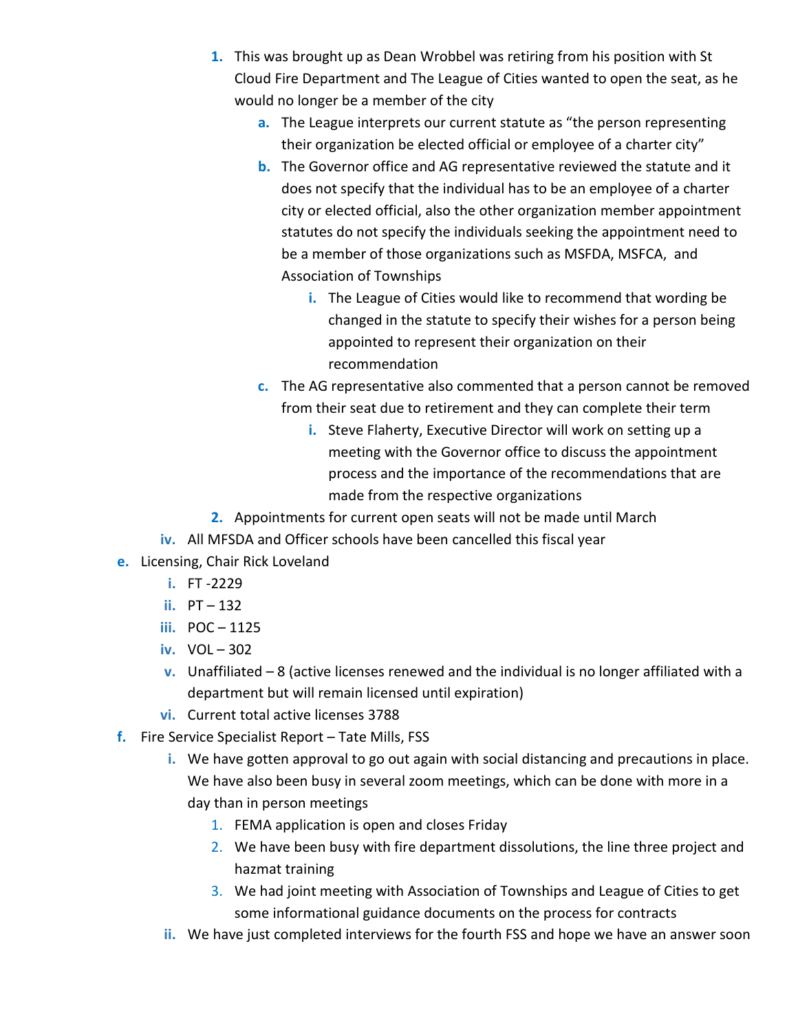- **1.** This was brought up as Dean Wrobbel was retiring from his position with St Cloud Fire Department and The League of Cities wanted to open the seat, as he would no longer be a member of the city
	- **a.** The League interprets our current statute as "the person representing their organization be elected official or employee of a charter city"
	- **b.** The Governor office and AG representative reviewed the statute and it does not specify that the individual has to be an employee of a charter city or elected official, also the other organization member appointment statutes do not specify the individuals seeking the appointment need to be a member of those organizations such as MSFDA, MSFCA, and Association of Townships
		- **i.** The League of Cities would like to recommend that wording be changed in the statute to specify their wishes for a person being appointed to represent their organization on their recommendation
	- **c.** The AG representative also commented that a person cannot be removed from their seat due to retirement and they can complete their term
		- **i.** Steve Flaherty, Executive Director will work on setting up a meeting with the Governor office to discuss the appointment process and the importance of the recommendations that are made from the respective organizations
- **2.** Appointments for current open seats will not be made until March
- **iv.** All MFSDA and Officer schools have been cancelled this fiscal year
- **e.** Licensing, Chair Rick Loveland
	- **i.** FT -2229
	- **ii.** PT 132
	- **iii.** POC 1125
	- **iv.** VOL 302
	- **v.** Unaffiliated 8 (active licenses renewed and the individual is no longer affiliated with a department but will remain licensed until expiration)
	- **vi.** Current total active licenses 3788
- **f.** Fire Service Specialist Report Tate Mills, FSS
	- **i.** We have gotten approval to go out again with social distancing and precautions in place. We have also been busy in several zoom meetings, which can be done with more in a day than in person meetings
		- 1. FEMA application is open and closes Friday
		- 2. We have been busy with fire department dissolutions, the line three project and hazmat training
		- 3. We had joint meeting with Association of Townships and League of Cities to get some informational guidance documents on the process for contracts
	- **ii.** We have just completed interviews for the fourth FSS and hope we have an answer soon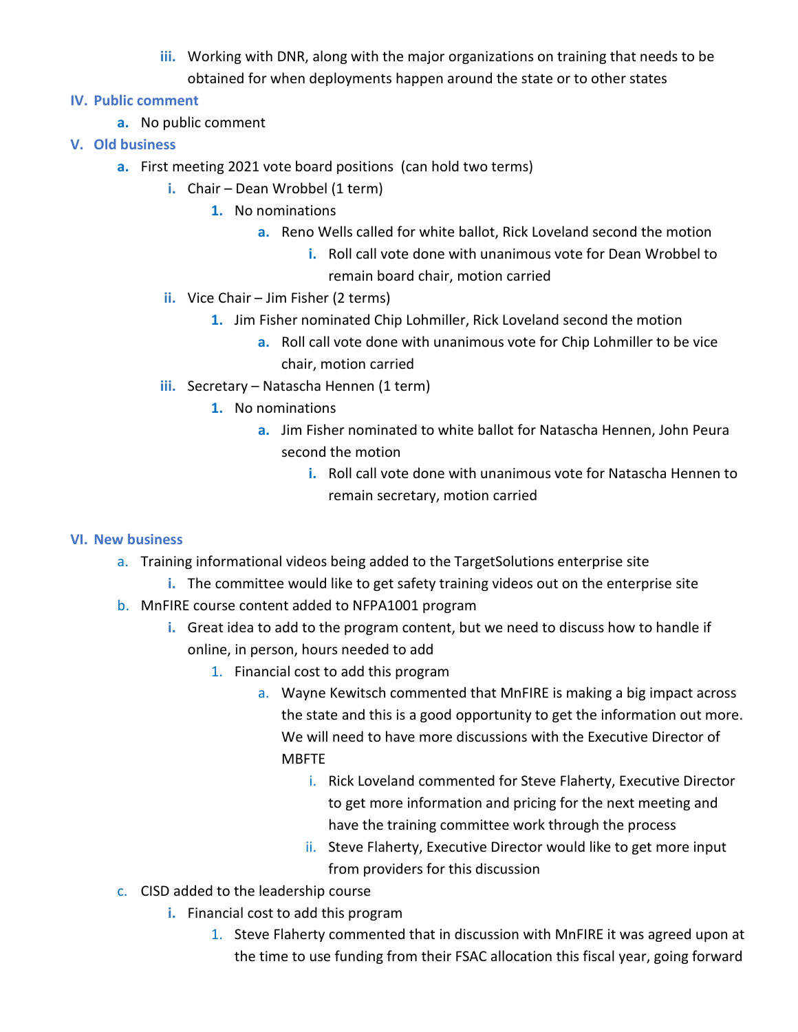- **iii.** Working with DNR, along with the major organizations on training that needs to be obtained for when deployments happen around the state or to other states
- **IV. Public comment**
	- **a.** No public comment
- **V. Old business**
	- **a.** First meeting 2021 vote board positions (can hold two terms)
		- **i.** Chair Dean Wrobbel (1 term)
			- **1.** No nominations
				- **a.** Reno Wells called for white ballot, Rick Loveland second the motion
					- **i.** Roll call vote done with unanimous vote for Dean Wrobbel to remain board chair, motion carried
		- **ii.** Vice Chair Jim Fisher (2 terms)
			- **1.** Jim Fisher nominated Chip Lohmiller, Rick Loveland second the motion
				- **a.** Roll call vote done with unanimous vote for Chip Lohmiller to be vice chair, motion carried
		- **iii.** Secretary Natascha Hennen (1 term)
			- **1.** No nominations
				- **a.** Jim Fisher nominated to white ballot for Natascha Hennen, John Peura second the motion
					- **i.** Roll call vote done with unanimous vote for Natascha Hennen to remain secretary, motion carried

## **VI. New business**

- a. Training informational videos being added to the TargetSolutions enterprise site
	- **i.** The committee would like to get safety training videos out on the enterprise site
- b. MnFIRE course content added to NFPA1001 program
	- **i.** Great idea to add to the program content, but we need to discuss how to handle if online, in person, hours needed to add
		- 1. Financial cost to add this program
			- a. Wayne Kewitsch commented that MnFIRE is making a big impact across the state and this is a good opportunity to get the information out more. We will need to have more discussions with the Executive Director of MBFTE
				- i. Rick Loveland commented for Steve Flaherty, Executive Director to get more information and pricing for the next meeting and have the training committee work through the process
				- ii. Steve Flaherty, Executive Director would like to get more input from providers for this discussion
- c. CISD added to the leadership course
	- **i.** Financial cost to add this program
		- 1. Steve Flaherty commented that in discussion with MnFIRE it was agreed upon at the time to use funding from their FSAC allocation this fiscal year, going forward